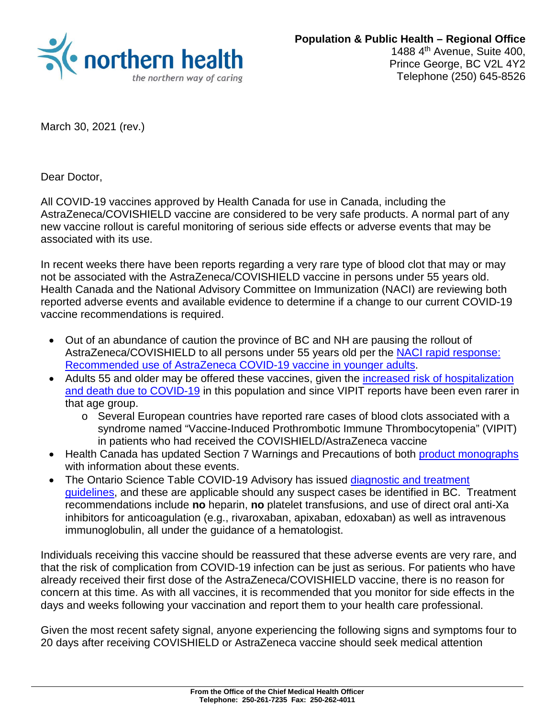

March 30, 2021 (rev.)

Dear Doctor,

All COVID-19 vaccines approved by Health Canada for use in Canada, including the AstraZeneca/COVISHIELD vaccine are considered to be very safe products. A normal part of any new vaccine rollout is careful monitoring of serious side effects or adverse events that may be associated with its use.

In recent weeks there have been reports regarding a very rare type of blood clot that may or may not be associated with the AstraZeneca/COVISHIELD vaccine in persons under 55 years old. Health Canada and the National Advisory Committee on Immunization (NACI) are reviewing both reported adverse events and available evidence to determine if a change to our current COVID-19 vaccine recommendations is required.

- Out of an abundance of caution the province of BC and NH are pausing the rollout of AstraZeneca/COVISHIELD to all persons under 55 years old per the [NACI rapid response:](https://www.canada.ca/en/public-health/services/immunization/national-advisory-committee-on-immunization-naci/rapid-response-recommended-use-astrazeneca-covid-19-vaccine-younger-adults.html)  [Recommended use of AstraZeneca COVID-19 vaccine in younger adults.](https://www.canada.ca/en/public-health/services/immunization/national-advisory-committee-on-immunization-naci/rapid-response-recommended-use-astrazeneca-covid-19-vaccine-younger-adults.html)
- Adults 55 and older may be offered these vaccines, given the increased risk of hospitalization [and death due to COVID-19](https://health-infobase.canada.ca/covid-19/epidemiological-summary-covid-19-cases.html) in this population and since VIPIT reports have been even rarer in that age group.
	- o Several European countries have reported rare cases of blood clots associated with a syndrome named "Vaccine-Induced Prothrombotic Immune Thrombocytopenia" (VIPIT) in patients who had received the COVISHIELD/AstraZeneca vaccine
- Health Canada has updated Section 7 Warnings and Precautions of both [product monographs](https://covid-vaccine.canada.ca/) with information about these events.
- The Ontario Science Table COVID-19 Advisory has issued diagnostic and treatment [guidelines,](https://covid19-sciencetable.ca/sciencebrief/vaccine-induced-prothrombotic-immune-thrombocytopenia-vipit-following-astrazeneca-covid-19-vaccination/) and these are applicable should any suspect cases be identified in BC. Treatment recommendations include **no** heparin, **no** platelet transfusions, and use of direct oral anti-Xa inhibitors for anticoagulation (e.g., rivaroxaban, apixaban, edoxaban) as well as intravenous immunoglobulin, all under the guidance of a hematologist.

Individuals receiving this vaccine should be reassured that these adverse events are very rare, and that the risk of complication from COVID-19 infection can be just as serious. For patients who have already received their first dose of the AstraZeneca/COVISHIELD vaccine, there is no reason for concern at this time. As with all vaccines, it is recommended that you monitor for side effects in the days and weeks following your vaccination and report them to your health care professional.

Given the most recent safety signal, anyone experiencing the following signs and symptoms four to 20 days after receiving COVISHIELD or AstraZeneca vaccine should seek medical attention